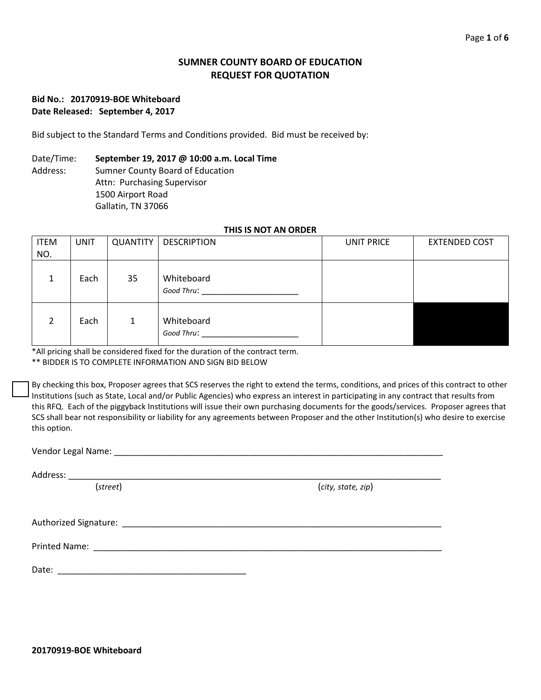# **SUMNER COUNTY BOARD OF EDUCATION REQUEST FOR QUOTATION**

## **Bid No.: 20170919-BOE Whiteboard Date Released: September 4, 2017**

Bid subject to the Standard Terms and Conditions provided. Bid must be received by:

## Date/Time: **September 19, 2017 @ 10:00 a.m. Local Time**

Address: Sumner County Board of Education Attn: Purchasing Supervisor 1500 Airport Road Gallatin, TN 37066

## **THIS IS NOT AN ORDER**

| <b>ITEM</b><br>NO. | <b>UNIT</b> | <b>QUANTITY</b> | <b>DESCRIPTION</b>       | <b>UNIT PRICE</b> | <b>EXTENDED COST</b> |
|--------------------|-------------|-----------------|--------------------------|-------------------|----------------------|
| 1                  | Each        | 35              | Whiteboard<br>Good Thru: |                   |                      |
| າ                  | Each        | $\mathbf{1}$    | Whiteboard<br>Good Thru: |                   |                      |

\*All pricing shall be considered fixed for the duration of the contract term.

\*\* BIDDER IS TO COMPLETE INFORMATION AND SIGN BID BELOW

By checking this box, Proposer agrees that SCS reserves the right to extend the terms, conditions, and prices of this contract to other Institutions (such as State, Local and/or Public Agencies) who express an interest in participating in any contract that results from this RFQ. Each of the piggyback Institutions will issue their own purchasing documents for the goods/services. Proposer agrees that SCS shall bear not responsibility or liability for any agreements between Proposer and the other Institution(s) who desire to exercise this option.

Vendor Legal Name: \_\_\_\_\_\_\_\_\_\_\_\_\_\_\_\_\_\_\_\_\_\_\_\_\_\_\_\_\_\_\_\_\_\_\_\_\_\_\_\_\_\_\_\_\_\_\_\_\_\_\_\_\_\_\_\_\_\_\_\_\_\_\_\_\_\_\_\_

Address: \_\_\_\_\_\_\_\_\_\_\_\_\_\_\_\_\_\_\_\_\_\_\_\_\_\_\_\_\_\_\_\_\_\_\_\_\_\_\_\_\_\_\_\_\_\_\_\_\_\_\_\_\_\_\_\_\_\_\_\_\_\_\_\_\_\_\_\_\_\_\_\_\_\_\_\_\_

(*street*) (*city, state, zip*)

Authorized Signature: \_\_\_\_\_\_\_\_\_\_\_\_\_\_\_\_\_\_\_\_\_\_\_\_\_\_\_\_\_\_\_\_\_\_\_\_\_\_\_\_\_\_\_\_\_\_\_\_\_\_\_\_\_\_\_\_\_\_\_\_\_\_\_\_\_\_

Printed Name: \_\_\_\_\_\_\_\_\_\_\_\_\_\_\_\_\_\_\_\_\_\_\_\_\_\_\_\_\_\_\_\_\_\_\_\_\_\_\_\_\_\_\_\_\_\_\_\_\_\_\_\_\_\_\_\_\_\_\_\_\_\_\_\_\_\_\_\_\_\_\_\_

Date: \_\_\_\_\_\_\_\_\_\_\_\_\_\_\_\_\_\_\_\_\_\_\_\_\_\_\_\_\_\_\_\_\_\_\_\_\_\_\_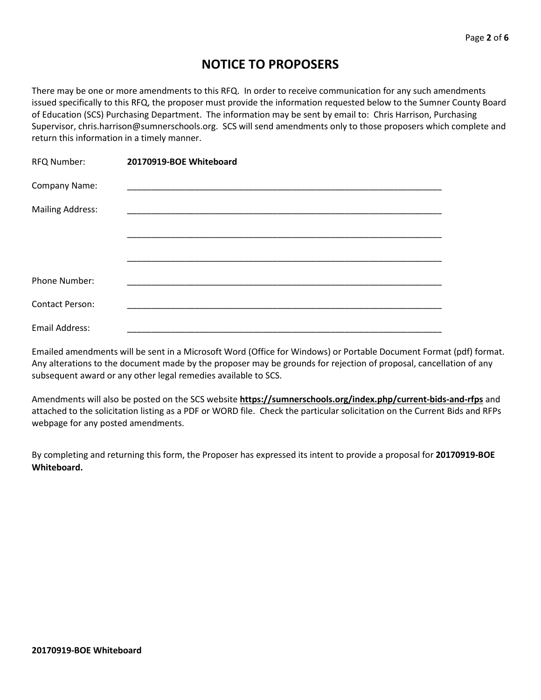# **NOTICE TO PROPOSERS**

There may be one or more amendments to this RFQ. In order to receive communication for any such amendments issued specifically to this RFQ, the proposer must provide the information requested below to the Sumner County Board of Education (SCS) Purchasing Department. The information may be sent by email to: Chris Harrison, Purchasing Supervisor, chris.harrison@sumnerschools.org. SCS will send amendments only to those proposers which complete and return this information in a timely manner.

| RFQ Number:             | 20170919-BOE Whiteboard |  |
|-------------------------|-------------------------|--|
| Company Name:           |                         |  |
| <b>Mailing Address:</b> |                         |  |
|                         |                         |  |
|                         |                         |  |
|                         |                         |  |
| Phone Number:           |                         |  |
| <b>Contact Person:</b>  |                         |  |
| Email Address:          |                         |  |

Emailed amendments will be sent in a Microsoft Word (Office for Windows) or Portable Document Format (pdf) format. Any alterations to the document made by the proposer may be grounds for rejection of proposal, cancellation of any subsequent award or any other legal remedies available to SCS.

Amendments will also be posted on the SCS website **https://sumnerschools.org/index.php/current-bids-and-rfps** and attached to the solicitation listing as a PDF or WORD file. Check the particular solicitation on the Current Bids and RFPs webpage for any posted amendments.

By completing and returning this form, the Proposer has expressed its intent to provide a proposal for **20170919-BOE Whiteboard.**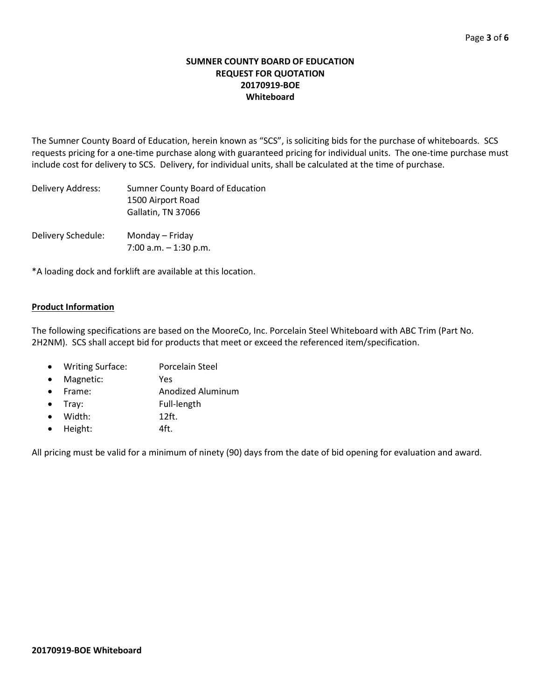## **SUMNER COUNTY BOARD OF EDUCATION REQUEST FOR QUOTATION 20170919-BOE Whiteboard**

The Sumner County Board of Education, herein known as "SCS", is soliciting bids for the purchase of whiteboards. SCS requests pricing for a one-time purchase along with guaranteed pricing for individual units. The one-time purchase must include cost for delivery to SCS. Delivery, for individual units, shall be calculated at the time of purchase.

| Delivery Address:  | Sumner County Board of Education<br>1500 Airport Road<br>Gallatin, TN 37066 |
|--------------------|-----------------------------------------------------------------------------|
| Delivery Schedule: | Monday – Friday<br>7:00 a.m. $-$ 1:30 p.m.                                  |

\*A loading dock and forklift are available at this location.

# **Product Information**

The following specifications are based on the MooreCo, Inc. Porcelain Steel Whiteboard with ABC Trim (Part No. 2H2NM). SCS shall accept bid for products that meet or exceed the referenced item/specification.

- Writing Surface: Porcelain Steel
- Magnetic: Yes
- Frame: Anodized Aluminum
- Tray: Full-length
- Width: 12ft.
- Height: 4ft.

All pricing must be valid for a minimum of ninety (90) days from the date of bid opening for evaluation and award.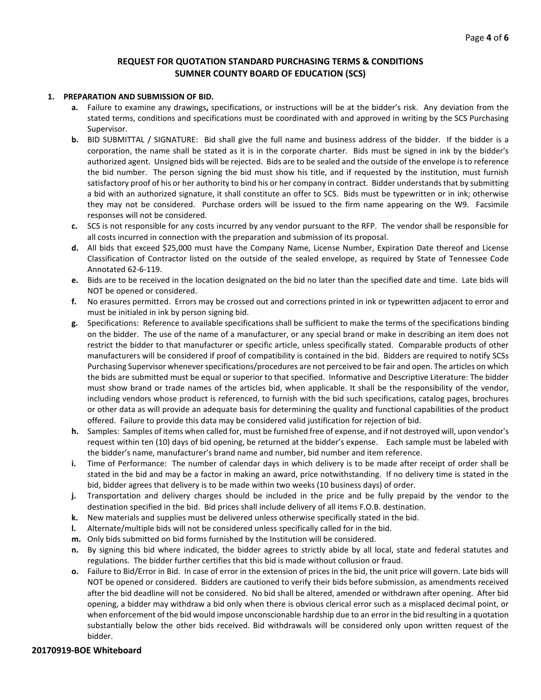#### **REQUEST FOR QUOTATION STANDARD PURCHASING TERMS & CONDITIONS SUMNER COUNTY BOARD OF EDUCATION (SCS)**

#### **1. PREPARATION AND SUBMISSION OF BID.**

- **a.** Failure to examine any drawings**,** specifications, or instructions will be at the bidder's risk. Any deviation from the stated terms, conditions and specifications must be coordinated with and approved in writing by the SCS Purchasing Supervisor.
- **b.** BID SUBMITTAL / SIGNATURE: Bid shall give the full name and business address of the bidder. If the bidder is a corporation, the name shall be stated as it is in the corporate charter. Bids must be signed in ink by the bidder's authorized agent. Unsigned bids will be rejected. Bids are to be sealed and the outside of the envelope is to reference the bid number. The person signing the bid must show his title, and if requested by the institution, must furnish satisfactory proof of his or her authority to bind his or her company in contract. Bidder understands that by submitting a bid with an authorized signature, it shall constitute an offer to SCS. Bids must be typewritten or in ink; otherwise they may not be considered. Purchase orders will be issued to the firm name appearing on the W9. Facsimile responses will not be considered.
- **c.** SCS is not responsible for any costs incurred by any vendor pursuant to the RFP. The vendor shall be responsible for all costs incurred in connection with the preparation and submission of its proposal.
- **d.** All bids that exceed \$25,000 must have the Company Name, License Number, Expiration Date thereof and License Classification of Contractor listed on the outside of the sealed envelope, as required by State of Tennessee Code Annotated 62-6-119.
- **e.** Bids are to be received in the location designated on the bid no later than the specified date and time. Late bids will NOT be opened or considered.
- **f.** No erasures permitted. Errors may be crossed out and corrections printed in ink or typewritten adjacent to error and must be initialed in ink by person signing bid.
- **g.** Specifications: Reference to available specifications shall be sufficient to make the terms of the specifications binding on the bidder. The use of the name of a manufacturer, or any special brand or make in describing an item does not restrict the bidder to that manufacturer or specific article, unless specifically stated. Comparable products of other manufacturers will be considered if proof of compatibility is contained in the bid. Bidders are required to notify SCSs Purchasing Supervisor whenever specifications/procedures are not perceived to be fair and open. The articles on which the bids are submitted must be equal or superior to that specified. Informative and Descriptive Literature: The bidder must show brand or trade names of the articles bid, when applicable. It shall be the responsibility of the vendor, including vendors whose product is referenced, to furnish with the bid such specifications, catalog pages, brochures or other data as will provide an adequate basis for determining the quality and functional capabilities of the product offered. Failure to provide this data may be considered valid justification for rejection of bid.
- **h.** Samples: Samples of items when called for, must be furnished free of expense, and if not destroyed will, upon vendor's request within ten (10) days of bid opening, be returned at the bidder's expense. Each sample must be labeled with the bidder's name, manufacturer's brand name and number, bid number and item reference.
- **i.** Time of Performance: The number of calendar days in which delivery is to be made after receipt of order shall be stated in the bid and may be a factor in making an award, price notwithstanding. If no delivery time is stated in the bid, bidder agrees that delivery is to be made within two weeks (10 business days) of order.
- **j.** Transportation and delivery charges should be included in the price and be fully prepaid by the vendor to the destination specified in the bid. Bid prices shall include delivery of all items F.O.B. destination.
- **k.** New materials and supplies must be delivered unless otherwise specifically stated in the bid.
- **l.** Alternate/multiple bids will not be considered unless specifically called for in the bid.
- **m.** Only bids submitted on bid forms furnished by the Institution will be considered.
- **n.** By signing this bid where indicated, the bidder agrees to strictly abide by all local, state and federal statutes and regulations. The bidder further certifies that this bid is made without collusion or fraud.
- **o.** Failure to Bid/Error in Bid. In case of error in the extension of prices in the bid, the unit price will govern. Late bids will NOT be opened or considered. Bidders are cautioned to verify their bids before submission, as amendments received after the bid deadline will not be considered. No bid shall be altered, amended or withdrawn after opening. After bid opening, a bidder may withdraw a bid only when there is obvious clerical error such as a misplaced decimal point, or when enforcement of the bid would impose unconscionable hardship due to an error in the bid resulting in a quotation substantially below the other bids received. Bid withdrawals will be considered only upon written request of the bidder.

#### **20170919-BOE Whiteboard**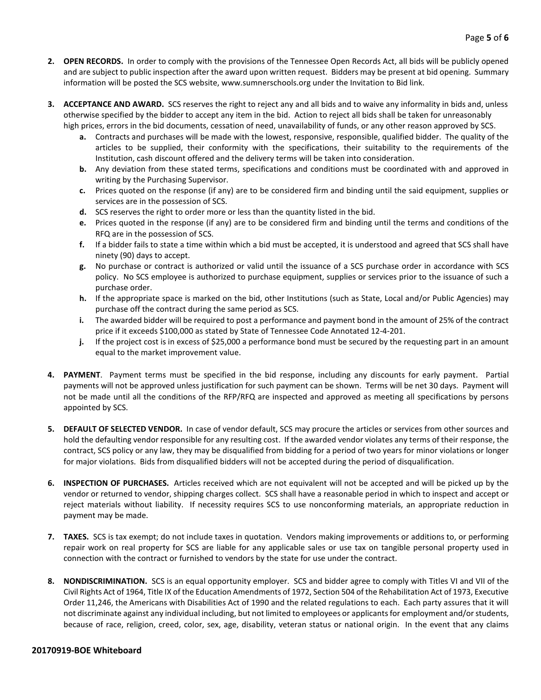- **2. OPEN RECORDS.** In order to comply with the provisions of the Tennessee Open Records Act, all bids will be publicly opened and are subject to public inspection after the award upon written request. Bidders may be present at bid opening. Summary information will be posted the SCS website, www.sumnerschools.org under the Invitation to Bid link.
- **3. ACCEPTANCE AND AWARD.** SCS reserves the right to reject any and all bids and to waive any informality in bids and, unless otherwise specified by the bidder to accept any item in the bid. Action to reject all bids shall be taken for unreasonably high prices, errors in the bid documents, cessation of need, unavailability of funds, or any other reason approved by SCS.
	- **a.** Contracts and purchases will be made with the lowest, responsive, responsible, qualified bidder. The quality of the articles to be supplied, their conformity with the specifications, their suitability to the requirements of the Institution, cash discount offered and the delivery terms will be taken into consideration.
	- **b.** Any deviation from these stated terms, specifications and conditions must be coordinated with and approved in writing by the Purchasing Supervisor.
	- **c.** Prices quoted on the response (if any) are to be considered firm and binding until the said equipment, supplies or services are in the possession of SCS.
	- **d.** SCS reserves the right to order more or less than the quantity listed in the bid.
	- **e.** Prices quoted in the response (if any) are to be considered firm and binding until the terms and conditions of the RFQ are in the possession of SCS.
	- **f.** If a bidder fails to state a time within which a bid must be accepted, it is understood and agreed that SCS shall have ninety (90) days to accept.
	- **g.** No purchase or contract is authorized or valid until the issuance of a SCS purchase order in accordance with SCS policy. No SCS employee is authorized to purchase equipment, supplies or services prior to the issuance of such a purchase order.
	- **h.** If the appropriate space is marked on the bid, other Institutions (such as State, Local and/or Public Agencies) may purchase off the contract during the same period as SCS.
	- **i.** The awarded bidder will be required to post a performance and payment bond in the amount of 25% of the contract price if it exceeds \$100,000 as stated by State of Tennessee Code Annotated 12-4-201.
	- **j.** If the project cost is in excess of \$25,000 a performance bond must be secured by the requesting part in an amount equal to the market improvement value.
- **4. PAYMENT**. Payment terms must be specified in the bid response, including any discounts for early payment. Partial payments will not be approved unless justification for such payment can be shown. Terms will be net 30 days. Payment will not be made until all the conditions of the RFP/RFQ are inspected and approved as meeting all specifications by persons appointed by SCS.
- **5. DEFAULT OF SELECTED VENDOR.** In case of vendor default, SCS may procure the articles or services from other sources and hold the defaulting vendor responsible for any resulting cost. If the awarded vendor violates any terms of their response, the contract, SCS policy or any law, they may be disqualified from bidding for a period of two years for minor violations or longer for major violations. Bids from disqualified bidders will not be accepted during the period of disqualification.
- **6. INSPECTION OF PURCHASES.** Articles received which are not equivalent will not be accepted and will be picked up by the vendor or returned to vendor, shipping charges collect. SCS shall have a reasonable period in which to inspect and accept or reject materials without liability. If necessity requires SCS to use nonconforming materials, an appropriate reduction in payment may be made.
- **7. TAXES.** SCS is tax exempt; do not include taxes in quotation. Vendors making improvements or additions to, or performing repair work on real property for SCS are liable for any applicable sales or use tax on tangible personal property used in connection with the contract or furnished to vendors by the state for use under the contract.
- **8. NONDISCRIMINATION.** SCS is an equal opportunity employer. SCS and bidder agree to comply with Titles VI and VII of the Civil Rights Act of 1964, Title IX of the Education Amendments of 1972, Section 504 of the Rehabilitation Act of 1973, Executive Order 11,246, the Americans with Disabilities Act of 1990 and the related regulations to each. Each party assures that it will not discriminate against any individual including, but not limited to employees or applicants for employment and/or students, because of race, religion, creed, color, sex, age, disability, veteran status or national origin. In the event that any claims